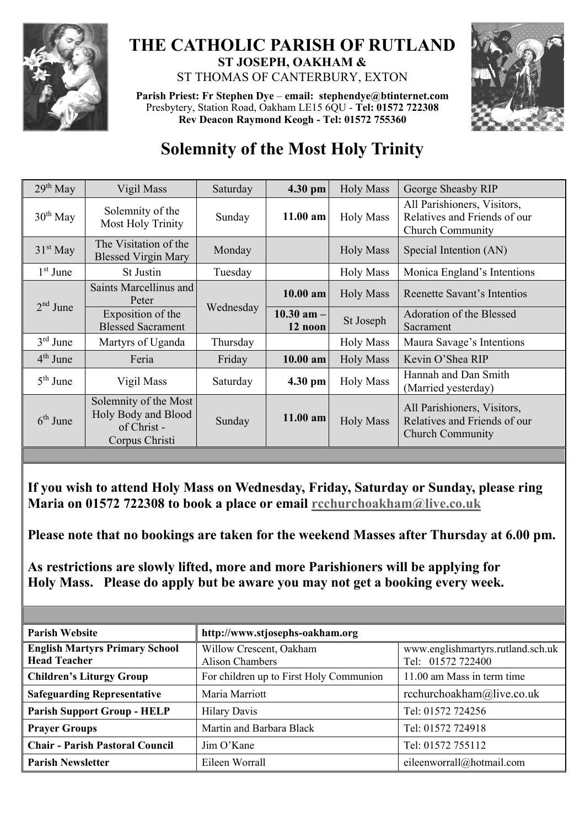

## **THE CATHOLIC PARISH OF RUTLAND ST JOSEPH, OAKHAM &**  ST THOMAS OF CANTERBURY, EXTON

**Parish Priest: Fr Stephen Dye** – **[email: stephendye@btinternet.com](mailto:email:%20%20stephendye@btinternet.com)** Presbytery, Station Road, Oakham LE15 6QU - **Tel: 01572 722308 Rev Deacon Raymond Keogh - Tel: 01572 755360**



## **Solemnity of the Most Holy Trinity**

| Vigil Mass                                                                    | Saturday | 4.30 pm                   | <b>Holy Mass</b> | George Sheasby RIP                                                                     |
|-------------------------------------------------------------------------------|----------|---------------------------|------------------|----------------------------------------------------------------------------------------|
| Solemnity of the<br>Most Holy Trinity                                         | Sunday   | $11.00$ am                | <b>Holy Mass</b> | All Parishioners, Visitors,<br>Relatives and Friends of our<br><b>Church Community</b> |
| The Visitation of the<br><b>Blessed Virgin Mary</b>                           | Monday   |                           | <b>Holy Mass</b> | Special Intention (AN)                                                                 |
| <b>St Justin</b>                                                              | Tuesday  |                           | <b>Holy Mass</b> | Monica England's Intentions                                                            |
| Saints Marcellinus and<br>Peter                                               |          | $10.00$ am                | <b>Holy Mass</b> | Reenette Savant's Intentios                                                            |
| Exposition of the<br><b>Blessed Sacrament</b>                                 |          | $10.30$ am $-$<br>12 noon | St Joseph        | Adoration of the Blessed<br>Sacrament                                                  |
| Martyrs of Uganda                                                             | Thursday |                           | <b>Holy Mass</b> | Maura Savage's Intentions                                                              |
| Feria                                                                         | Friday   | $10.00$ am                | <b>Holy Mass</b> | Kevin O'Shea RIP                                                                       |
| Vigil Mass                                                                    | Saturday | $4.30$ pm                 | <b>Holy Mass</b> | Hannah and Dan Smith<br>(Married yesterday)                                            |
| Solemnity of the Most<br>Holy Body and Blood<br>of Christ -<br>Corpus Christi | Sunday   | 11.00 am                  | <b>Holy Mass</b> | All Parishioners, Visitors,<br>Relatives and Friends of our<br><b>Church Community</b> |
|                                                                               |          | Wednesday                 |                  |                                                                                        |

**If you wish to attend Holy Mass on Wednesday, Friday, Saturday or Sunday, please ring Maria on 01572 722308 to book a place or email [rcchurchoakham@live.co.uk](mailto:rcchurchoakham@live.co.uk)**

**Please note that no bookings are taken for the weekend Masses after Thursday at 6.00 pm.**

**As restrictions are slowly lifted, more and more Parishioners will be applying for Holy Mass. Please do apply but be aware you may not get a booking every week.**

| <b>Parish Website</b>                                        | http://www.stjosephs-oakham.org                   |                                                        |  |  |
|--------------------------------------------------------------|---------------------------------------------------|--------------------------------------------------------|--|--|
| <b>English Martyrs Primary School</b><br><b>Head Teacher</b> | Willow Crescent, Oakham<br><b>Alison Chambers</b> | www.englishmartyrs.rutland.sch.uk<br>Tel: 01572 722400 |  |  |
| <b>Children's Liturgy Group</b>                              | For children up to First Holy Communion           | 11.00 am Mass in term time                             |  |  |
| <b>Safeguarding Representative</b>                           | Maria Marriott                                    | rcchurchoakham@live.co.uk                              |  |  |
| <b>Parish Support Group - HELP</b>                           | <b>Hilary Davis</b>                               | Tel: 01572 724256                                      |  |  |
| <b>Prayer Groups</b>                                         | Martin and Barbara Black                          | Tel: 01572 724918                                      |  |  |
| <b>Chair - Parish Pastoral Council</b>                       | Jim O'Kane                                        | Tel: 01572 755112                                      |  |  |
| <b>Parish Newsletter</b>                                     | Eileen Worrall                                    | eileenworrall@hotmail.com                              |  |  |